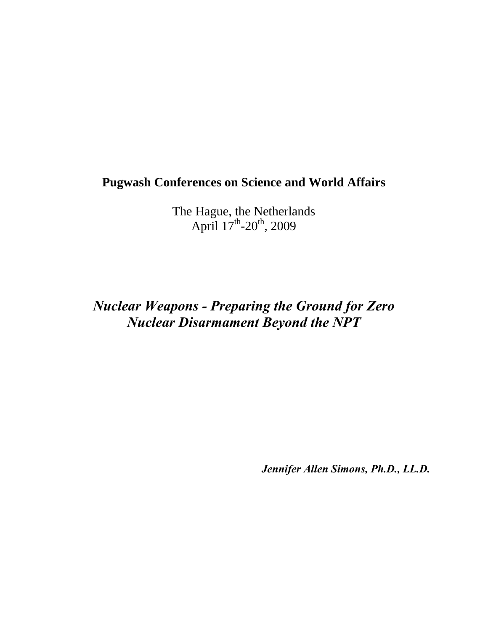# **Pugwash Conferences on Science and World Affairs**

The Hague, the Netherlands April  $17^{\text{th}}$ -20<sup>th</sup>, 2009

# *Nuclear Weapons - Preparing the Ground for Zero Nuclear Disarmament Beyond the NPT*

*Jennifer Allen Simons, Ph.D., LL.D.*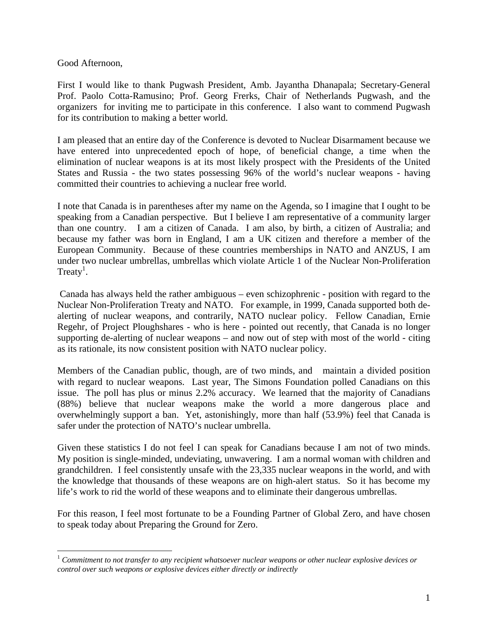Good Afternoon,

 $\overline{a}$ 

First I would like to thank Pugwash President, Amb. Jayantha Dhanapala; Secretary-General Prof. Paolo Cotta-Ramusino; Prof. Georg Frerks, Chair of Netherlands Pugwash, and the organizers for inviting me to participate in this conference. I also want to commend Pugwash for its contribution to making a better world.

I am pleased that an entire day of the Conference is devoted to Nuclear Disarmament because we have entered into unprecedented epoch of hope, of beneficial change, a time when the elimination of nuclear weapons is at its most likely prospect with the Presidents of the United States and Russia - the two states possessing 96% of the world's nuclear weapons - having committed their countries to achieving a nuclear free world.

I note that Canada is in parentheses after my name on the Agenda, so I imagine that I ought to be speaking from a Canadian perspective. But I believe I am representative of a community larger than one country. I am a citizen of Canada. I am also, by birth, a citizen of Australia; and because my father was born in England, I am a UK citizen and therefore a member of the European Community. Because of these countries memberships in NATO and ANZUS, I am under two nuclear umbrellas, umbrellas which violate Article 1 of the Nuclear Non-Proliferation Treaty<sup>1</sup>.

 Canada has always held the rather ambiguous – even schizophrenic - position with regard to the Nuclear Non-Proliferation Treaty and NATO. For example, in 1999, Canada supported both dealerting of nuclear weapons, and contrarily, NATO nuclear policy. Fellow Canadian, Ernie Regehr, of Project Ploughshares - who is here - pointed out recently, that Canada is no longer supporting de-alerting of nuclear weapons – and now out of step with most of the world - citing as its rationale, its now consistent position with NATO nuclear policy.

Members of the Canadian public, though, are of two minds, and maintain a divided position with regard to nuclear weapons. Last year, The Simons Foundation polled Canadians on this issue. The poll has plus or minus 2.2% accuracy. We learned that the majority of Canadians (88%) believe that nuclear weapons make the world a more dangerous place and overwhelmingly support a ban. Yet, astonishingly, more than half (53.9%) feel that Canada is safer under the protection of NATO's nuclear umbrella.

Given these statistics I do not feel I can speak for Canadians because I am not of two minds. My position is single-minded, undeviating, unwavering. I am a normal woman with children and grandchildren. I feel consistently unsafe with the 23,335 nuclear weapons in the world, and with the knowledge that thousands of these weapons are on high-alert status. So it has become my life's work to rid the world of these weapons and to eliminate their dangerous umbrellas.

For this reason, I feel most fortunate to be a Founding Partner of Global Zero, and have chosen to speak today about Preparing the Ground for Zero.

<sup>1</sup> *Commitment to not transfer to any recipient whatsoever nuclear weapons or other nuclear explosive devices or control over such weapons or explosive devices either directly or indirectly*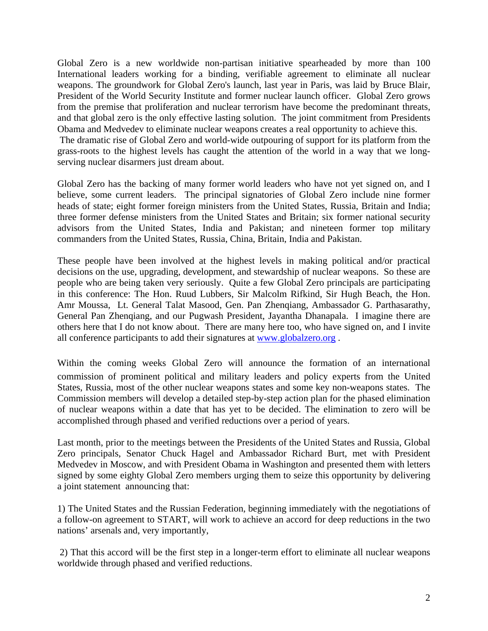Global Zero is a new worldwide non-partisan initiative spearheaded by more than 100 International leaders working for a binding, verifiable agreement to eliminate all nuclear weapons. The groundwork for Global Zero's launch, last year in Paris, was laid by Bruce Blair, President of the World Security Institute and former nuclear launch officer. Global Zero grows from the premise that proliferation and nuclear terrorism have become the predominant threats, and that global zero is the only effective lasting solution. The joint commitment from Presidents Obama and Medvedev to eliminate nuclear weapons creates a real opportunity to achieve this.

 The dramatic rise of Global Zero and world-wide outpouring of support for its platform from the grass-roots to the highest levels has caught the attention of the world in a way that we longserving nuclear disarmers just dream about.

Global Zero has the backing of many former world leaders who have not yet signed on, and I believe, some current leaders. The principal signatories of Global Zero include nine former heads of state; eight former foreign ministers from the United States, Russia, Britain and India; three former defense ministers from the United States and Britain; six former national security advisors from the United States, India and Pakistan; and nineteen former top military commanders from the United States, Russia, China, Britain, India and Pakistan.

These people have been involved at the highest levels in making political and/or practical decisions on the use, upgrading, development, and stewardship of nuclear weapons. So these are people who are being taken very seriously. Quite a few Global Zero principals are participating in this conference: The Hon. Ruud Lubbers, Sir Malcolm Rifkind, Sir Hugh Beach, the Hon. Amr Moussa, Lt. General Talat Masood, Gen. Pan Zhenqiang, Ambassador G. Parthasarathy, General Pan Zhenqiang, and our Pugwash President, Jayantha Dhanapala. I imagine there are others here that I do not know about. There are many here too, who have signed on, and I invite all conference participants to add their signatures at www.globalzero.org .

Within the coming weeks Global Zero will announce the formation of an international commission of prominent political and military leaders and policy experts from the United States, Russia, most of the other nuclear weapons states and some key non-weapons states. The Commission members will develop a detailed step-by-step action plan for the phased elimination of nuclear weapons within a date that has yet to be decided. The elimination to zero will be accomplished through phased and verified reductions over a period of years.

Last month, prior to the meetings between the Presidents of the United States and Russia, Global Zero principals, Senator Chuck Hagel and Ambassador Richard Burt, met with President Medvedev in Moscow, and with President Obama in Washington and presented them with letters signed by some eighty Global Zero members urging them to seize this opportunity by delivering a joint statement announcing that:

1) The United States and the Russian Federation, beginning immediately with the negotiations of a follow-on agreement to START, will work to achieve an accord for deep reductions in the two nations' arsenals and, very importantly,

 2) That this accord will be the first step in a longer-term effort to eliminate all nuclear weapons worldwide through phased and verified reductions.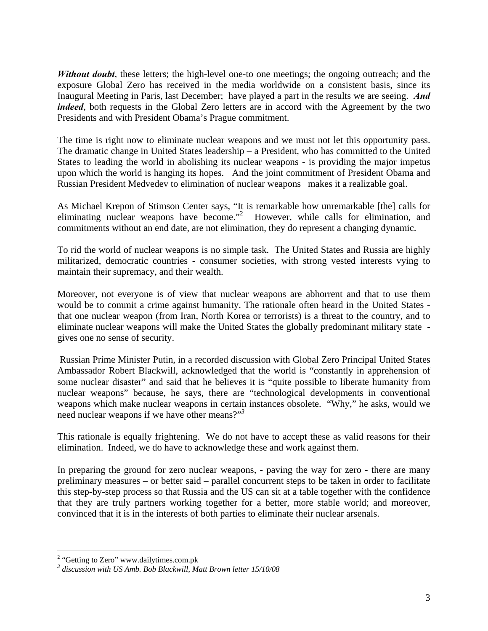*Without doubt*, these letters; the high-level one-to one meetings; the ongoing outreach; and the exposure Global Zero has received in the media worldwide on a consistent basis, since its Inaugural Meeting in Paris, last December; have played a part in the results we are seeing. *And indeed*, both requests in the Global Zero letters are in accord with the Agreement by the two Presidents and with President Obama's Prague commitment.

The time is right now to eliminate nuclear weapons and we must not let this opportunity pass. The dramatic change in United States leadership – a President, who has committed to the United States to leading the world in abolishing its nuclear weapons - is providing the major impetus upon which the world is hanging its hopes. And the joint commitment of President Obama and Russian President Medvedev to elimination of nuclear weapons makes it a realizable goal.

As Michael Krepon of Stimson Center says, "It is remarkable how unremarkable [the] calls for eliminating nuclear weapons have become."<sup>2</sup> However, while calls for elimination, and commitments without an end date, are not elimination, they do represent a changing dynamic.

To rid the world of nuclear weapons is no simple task. The United States and Russia are highly militarized, democratic countries - consumer societies, with strong vested interests vying to maintain their supremacy, and their wealth.

Moreover, not everyone is of view that nuclear weapons are abhorrent and that to use them would be to commit a crime against humanity. The rationale often heard in the United States that one nuclear weapon (from Iran, North Korea or terrorists) is a threat to the country, and to eliminate nuclear weapons will make the United States the globally predominant military state gives one no sense of security.

 Russian Prime Minister Putin, in a recorded discussion with Global Zero Principal United States Ambassador Robert Blackwill, acknowledged that the world is "constantly in apprehension of some nuclear disaster" and said that he believes it is "quite possible to liberate humanity from nuclear weapons" because, he says, there are "technological developments in conventional weapons which make nuclear weapons in certain instances obsolete. "Why," he asks, would we need nuclear weapons if we have other means?"*<sup>3</sup>*

This rationale is equally frightening. We do not have to accept these as valid reasons for their elimination. Indeed, we do have to acknowledge these and work against them.

In preparing the ground for zero nuclear weapons, - paving the way for zero - there are many preliminary measures – or better said – parallel concurrent steps to be taken in order to facilitate this step-by-step process so that Russia and the US can sit at a table together with the confidence that they are truly partners working together for a better, more stable world; and moreover, convinced that it is in the interests of both parties to eliminate their nuclear arsenals.

<sup>&</sup>lt;sup>2</sup> "Getting to Zero" www.dailytimes.com.pk

*<sup>3</sup> discussion with US Amb. Bob Blackwill, Matt Brown letter 15/10/08*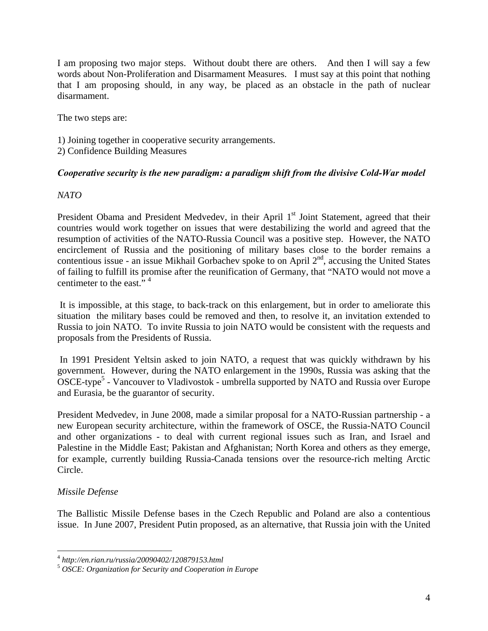I am proposing two major steps. Without doubt there are others. And then I will say a few words about Non-Proliferation and Disarmament Measures. I must say at this point that nothing that I am proposing should, in any way, be placed as an obstacle in the path of nuclear disarmament.

The two steps are:

- 1) Joining together in cooperative security arrangements.
- 2) Confidence Building Measures

#### *Cooperative security is the new paradigm: a paradigm shift from the divisive Cold-War model*

#### *NATO*

President Obama and President Medvedev, in their April 1<sup>st</sup> Joint Statement, agreed that their countries would work together on issues that were destabilizing the world and agreed that the resumption of activities of the NATO-Russia Council was a positive step. However, the NATO encirclement of Russia and the positioning of military bases close to the border remains a contentious issue - an issue Mikhail Gorbachev spoke to on April  $2<sup>nd</sup>$ , accusing the United States of failing to fulfill its promise after the reunification of Germany, that "NATO would not move a centimeter to the east."<sup>4</sup>

 It is impossible, at this stage, to back-track on this enlargement, but in order to ameliorate this situation the military bases could be removed and then, to resolve it, an invitation extended to Russia to join NATO. To invite Russia to join NATO would be consistent with the requests and proposals from the Presidents of Russia.

 In 1991 President Yeltsin asked to join NATO, a request that was quickly withdrawn by his government. However, during the NATO enlargement in the 1990s, Russia was asking that the OSCE-type<sup>5</sup> - Vancouver to Vladivostok - umbrella supported by NATO and Russia over Europe and Eurasia, be the guarantor of security.

President Medvedev, in June 2008, made a similar proposal for a NATO-Russian partnership - a new European security architecture, within the framework of OSCE, the Russia-NATO Council and other organizations - to deal with current regional issues such as Iran, and Israel and Palestine in the Middle East; Pakistan and Afghanistan; North Korea and others as they emerge, for example, currently building Russia-Canada tensions over the resource-rich melting Arctic Circle.

# *Missile Defense*

 $\overline{a}$ 

The Ballistic Missile Defense bases in the Czech Republic and Poland are also a contentious issue. In June 2007, President Putin proposed, as an alternative, that Russia join with the United

<sup>4</sup> *http://en.rian.ru/russia/20090402/120879153.html* 

<sup>5</sup> *OSCE: Organization for Security and Cooperation in Europe*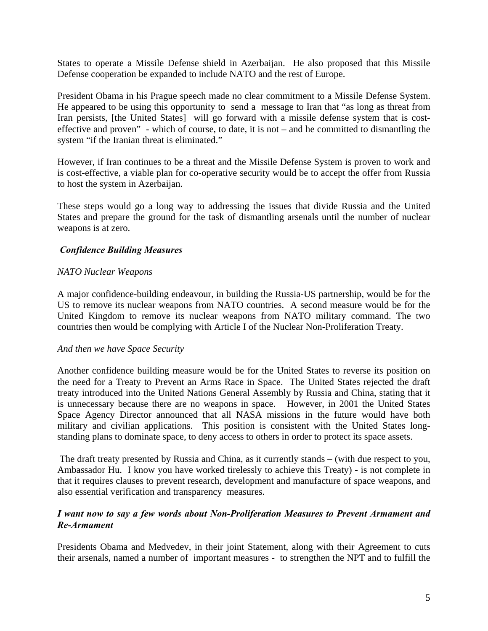States to operate a Missile Defense shield in Azerbaijan. He also proposed that this Missile Defense cooperation be expanded to include NATO and the rest of Europe.

President Obama in his Prague speech made no clear commitment to a Missile Defense System. He appeared to be using this opportunity to send a message to Iran that "as long as threat from Iran persists, [the United States] will go forward with a missile defense system that is costeffective and proven" - which of course, to date, it is not – and he committed to dismantling the system "if the Iranian threat is eliminated."

However, if Iran continues to be a threat and the Missile Defense System is proven to work and is cost-effective, a viable plan for co-operative security would be to accept the offer from Russia to host the system in Azerbaijan.

These steps would go a long way to addressing the issues that divide Russia and the United States and prepare the ground for the task of dismantling arsenals until the number of nuclear weapons is at zero.

# *Confidence Building Measures*

#### *NATO Nuclear Weapons*

A major confidence-building endeavour, in building the Russia-US partnership, would be for the US to remove its nuclear weapons from NATO countries. A second measure would be for the United Kingdom to remove its nuclear weapons from NATO military command. The two countries then would be complying with Article I of the Nuclear Non-Proliferation Treaty.

#### *And then we have Space Security*

Another confidence building measure would be for the United States to reverse its position on the need for a Treaty to Prevent an Arms Race in Space. The United States rejected the draft treaty introduced into the United Nations General Assembly by Russia and China, stating that it is unnecessary because there are no weapons in space. However, in 2001 the United States Space Agency Director announced that all NASA missions in the future would have both military and civilian applications. This position is consistent with the United States longstanding plans to dominate space, to deny access to others in order to protect its space assets.

 The draft treaty presented by Russia and China, as it currently stands – (with due respect to you, Ambassador Hu. I know you have worked tirelessly to achieve this Treaty) - is not complete in that it requires clauses to prevent research, development and manufacture of space weapons, and also essential verification and transparency measures.

# *I want now to say a few words about Non-Proliferation Measures to Prevent Armament and Re-Armament*

Presidents Obama and Medvedev, in their joint Statement, along with their Agreement to cuts their arsenals, named a number of important measures - to strengthen the NPT and to fulfill the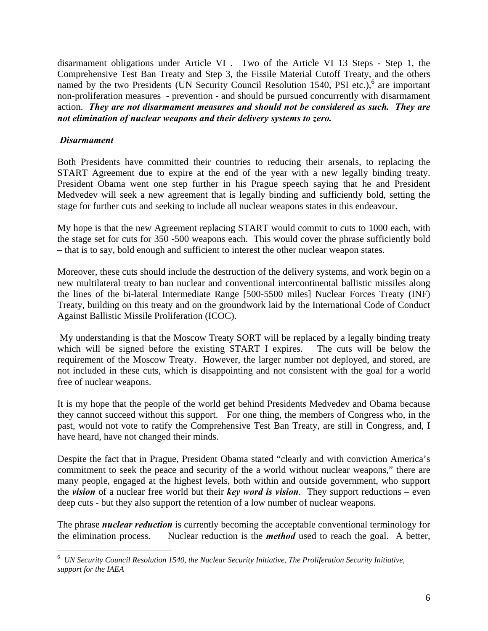disarmament obligations under Article VI . Two of the Article VI 13 Steps - Step 1, the Comprehensive Test Ban Treaty and Step 3, the Fissile Material Cutoff Treaty, and the others named by the two Presidents (UN Security Council Resolution 1540, PSI etc.),<sup>6</sup> are important non-proliferation measures - prevention - and should be pursued concurrently with disarmament action. *They are not disarmament measures and should not be considered as such. They are not elimination of nuclear weapons and their delivery systems to zero.* 

### *Disarmament*

1

Both Presidents have committed their countries to reducing their arsenals, to replacing the START Agreement due to expire at the end of the year with a new legally binding treaty. President Obama went one step further in his Prague speech saying that he and President Medvedev will seek a new agreement that is legally binding and sufficiently bold, setting the stage for further cuts and seeking to include all nuclear weapons states in this endeavour.

My hope is that the new Agreement replacing START would commit to cuts to 1000 each, with the stage set for cuts for 350 -500 weapons each. This would cover the phrase sufficiently bold – that is to say, bold enough and sufficient to interest the other nuclear weapon states.

Moreover, these cuts should include the destruction of the delivery systems, and work begin on a new multilateral treaty to ban nuclear and conventional intercontinental ballistic missiles along the lines of the bi-lateral Intermediate Range [500-5500 miles] Nuclear Forces Treaty (INF) Treaty, building on this treaty and on the groundwork laid by the International Code of Conduct Against Ballistic Missile Proliferation (ICOC).

 My understanding is that the Moscow Treaty SORT will be replaced by a legally binding treaty which will be signed before the existing START I expires. The cuts will be below the requirement of the Moscow Treaty. However, the larger number not deployed, and stored, are not included in these cuts, which is disappointing and not consistent with the goal for a world free of nuclear weapons.

It is my hope that the people of the world get behind Presidents Medvedev and Obama because they cannot succeed without this support. For one thing, the members of Congress who, in the past, would not vote to ratify the Comprehensive Test Ban Treaty, are still in Congress, and, I have heard, have not changed their minds.

Despite the fact that in Prague, President Obama stated "clearly and with conviction America's commitment to seek the peace and security of the a world without nuclear weapons," there are many people, engaged at the highest levels, both within and outside government, who support the *vision* of a nuclear free world but their *key word is vision*. They support reductions – even deep cuts - but they also support the retention of a low number of nuclear weapons.

The phrase *nuclear reduction* is currently becoming the acceptable conventional terminology for the elimination process. Nuclear reduction is the *method* used to reach the goal. A better,

<sup>6</sup> *UN Security Council Resolution 1540, the Nuclear Security Initiative, The Proliferation Security Initiative, support for the IAEA*